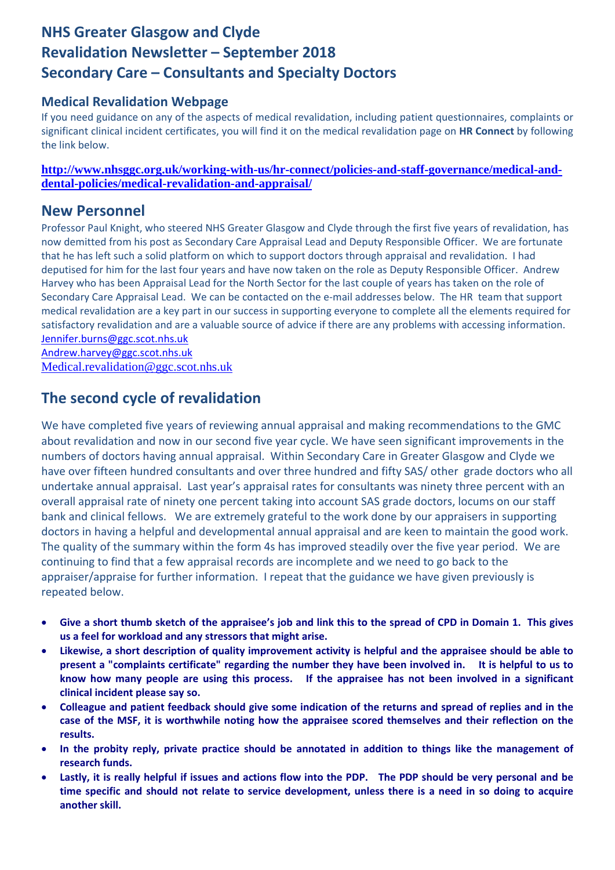# **NHS Greater Glasgow and Clyde Revalidation Newsletter – September 2018 Secondary Care – Consultants and Specialty Doctors**

## **Medical Revalidation Webpage**

If you need guidance on any of the aspects of medical revalidation, including patient questionnaires, complaints or significant clinical incident certificates, you will find it on the medical revalidation page on **HR Connect** by following the link below.

**http://www.nhsggc.org.uk/working-with-us/hr-connect/policies-and-staff-governance/medical-anddental-policies/medical-revalidation-and-appraisal/**

## **New Personnel**

Professor Paul Knight, who steered NHS Greater Glasgow and Clyde through the first five years of revalidation, has now demitted from his post as Secondary Care Appraisal Lead and Deputy Responsible Officer. We are fortunate that he has left such a solid platform on which to support doctors through appraisal and revalidation. I had deputised for him for the last four years and have now taken on the role as Deputy Responsible Officer. Andrew Harvey who has been Appraisal Lead for the North Sector for the last couple of years has taken on the role of Secondary Care Appraisal Lead. We can be contacted on the e-mail addresses below. The HR team that support medical revalidation are a key part in our success in supporting everyone to complete all the elements required for satisfactory revalidation and are a valuable source of advice if there are any problems with accessing information. Jennifer.burns@ggc.scot.nhs.uk

Andrew.harvey@ggc.scot.nhs.uk Medical.revalidation@ggc.scot.nhs.uk

## **The second cycle of revalidation**

We have completed five years of reviewing annual appraisal and making recommendations to the GMC about revalidation and now in our second five year cycle. We have seen significant improvements in the numbers of doctors having annual appraisal. Within Secondary Care in Greater Glasgow and Clyde we have over fifteen hundred consultants and over three hundred and fifty SAS/ other grade doctors who all undertake annual appraisal. Last year's appraisal rates for consultants was ninety three percent with an overall appraisal rate of ninety one percent taking into account SAS grade doctors, locums on our staff bank and clinical fellows. We are extremely grateful to the work done by our appraisers in supporting doctors in having a helpful and developmental annual appraisal and are keen to maintain the good work. The quality of the summary within the form 4s has improved steadily over the five year period. We are continuing to find that a few appraisal records are incomplete and we need to go back to the appraiser/appraise for further information. I repeat that the guidance we have given previously is repeated below.

- Give a short thumb sketch of the appraisee's job and link this to the spread of CPD in Domain 1. This gives **us a feel for workload and any stressors that might arise.**
- Likewise, a short description of quality improvement activity is helpful and the appraisee should be able to present a "complaints certificate" regarding the number they have been involved in. It is helpful to us to know how many people are using this process. If the appraisee has not been involved in a significant **clinical incident please say so.**
- Colleague and patient feedback should give some indication of the returns and spread of replies and in the case of the MSF, it is worthwhile noting how the appraisee scored themselves and their reflection on the **results.**
- **In the probity reply, private practice should be annotated in addition to things like the management of research funds.**
- Lastly, it is really helpful if issues and actions flow into the PDP. The PDP should be very personal and be time specific and should not relate to service development, unless there is a need in so doing to acquire **another skill.**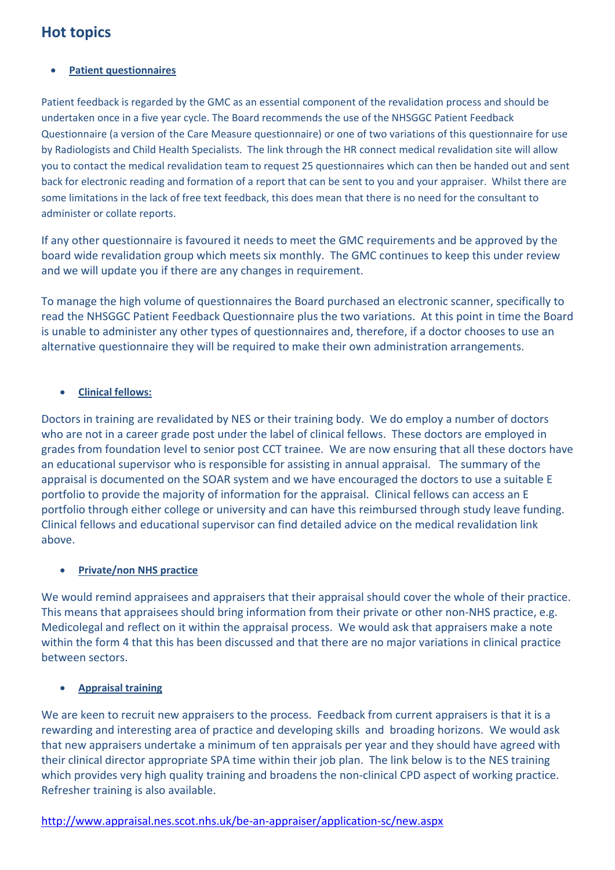## **Hot topics**

### **Patient questionnaires**

Patient feedback is regarded by the GMC as an essential component of the revalidation process and should be undertaken once in a five year cycle. The Board recommends the use of the NHSGGC Patient Feedback Questionnaire (a version of the Care Measure questionnaire) or one of two variations of this questionnaire for use by Radiologists and Child Health Specialists. The link through the HR connect medical revalidation site will allow you to contact the medical revalidation team to request 25 questionnaires which can then be handed out and sent back for electronic reading and formation of a report that can be sent to you and your appraiser. Whilst there are some limitations in the lack of free text feedback, this does mean that there is no need for the consultant to administer or collate reports.

If any other questionnaire is favoured it needs to meet the GMC requirements and be approved by the board wide revalidation group which meets six monthly. The GMC continues to keep this under review and we will update you if there are any changes in requirement.

To manage the high volume of questionnaires the Board purchased an electronic scanner, specifically to read the NHSGGC Patient Feedback Questionnaire plus the two variations. At this point in time the Board is unable to administer any other types of questionnaires and, therefore, if a doctor chooses to use an alternative questionnaire they will be required to make their own administration arrangements.

### **Clinical fellows:**

Doctors in training are revalidated by NES or their training body. We do employ a number of doctors who are not in a career grade post under the label of clinical fellows. These doctors are employed in grades from foundation level to senior post CCT trainee. We are now ensuring that all these doctors have an educational supervisor who is responsible for assisting in annual appraisal. The summary of the appraisal is documented on the SOAR system and we have encouraged the doctors to use a suitable E portfolio to provide the majority of information for the appraisal. Clinical fellows can access an E portfolio through either college or university and can have this reimbursed through study leave funding. Clinical fellows and educational supervisor can find detailed advice on the medical revalidation link above.

### **Private/non NHS practice**

We would remind appraisees and appraisers that their appraisal should cover the whole of their practice. This means that appraisees should bring information from their private or other non‐NHS practice, e.g. Medicolegal and reflect on it within the appraisal process. We would ask that appraisers make a note within the form 4 that this has been discussed and that there are no major variations in clinical practice between sectors.

### **Appraisal training**

We are keen to recruit new appraisers to the process. Feedback from current appraisers is that it is a rewarding and interesting area of practice and developing skills and broading horizons. We would ask that new appraisers undertake a minimum of ten appraisals per year and they should have agreed with their clinical director appropriate SPA time within their job plan. The link below is to the NES training which provides very high quality training and broadens the non-clinical CPD aspect of working practice. Refresher training is also available.